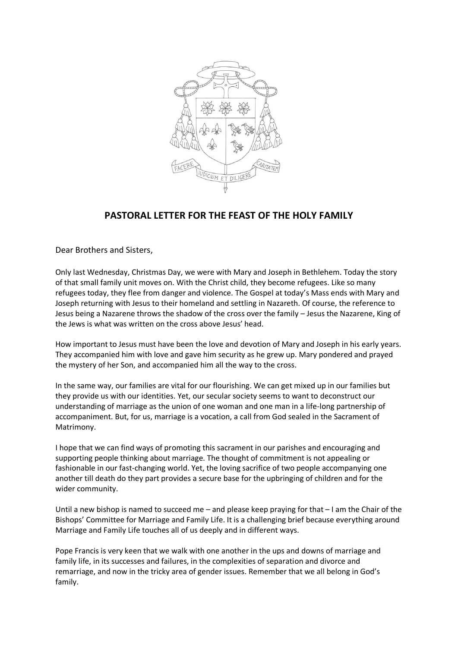

## **PASTORAL LETTER FOR THE FEAST OF THE HOLY FAMILY**

Dear Brothers and Sisters,

Only last Wednesday, Christmas Day, we were with Mary and Joseph in Bethlehem. Today the story of that small family unit moves on. With the Christ child, they become refugees. Like so many refugees today, they flee from danger and violence. The Gospel at today's Mass ends with Mary and Joseph returning with Jesus to their homeland and settling in Nazareth. Of course, the reference to Jesus being a Nazarene throws the shadow of the cross over the family – Jesus the Nazarene, King of the Jews is what was written on the cross above Jesus' head.

How important to Jesus must have been the love and devotion of Mary and Joseph in his early years. They accompanied him with love and gave him security as he grew up. Mary pondered and prayed the mystery of her Son, and accompanied him all the way to the cross.

In the same way, our families are vital for our flourishing. We can get mixed up in our families but they provide us with our identities. Yet, our secular society seems to want to deconstruct our understanding of marriage as the union of one woman and one man in a life-long partnership of accompaniment. But, for us, marriage is a vocation, a call from God sealed in the Sacrament of Matrimony.

I hope that we can find ways of promoting this sacrament in our parishes and encouraging and supporting people thinking about marriage. The thought of commitment is not appealing or fashionable in our fast-changing world. Yet, the loving sacrifice of two people accompanying one another till death do they part provides a secure base for the upbringing of children and for the wider community.

Until a new bishop is named to succeed me – and please keep praying for that  $-1$  am the Chair of the Bishops' Committee for Marriage and Family Life. It is a challenging brief because everything around Marriage and Family Life touches all of us deeply and in different ways.

Pope Francis is very keen that we walk with one another in the ups and downs of marriage and family life, in its successes and failures, in the complexities of separation and divorce and remarriage, and now in the tricky area of gender issues. Remember that we all belong in God's family.